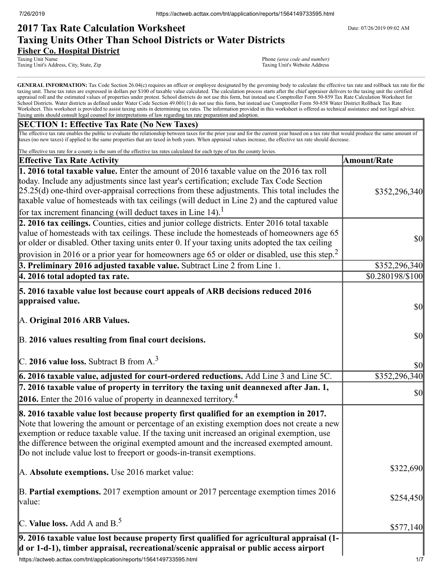# **2017 Tax Rate Calculation Worksheet** Determines the Date: 07/26/2019 09:02 AM **Taxing Units Other Than School Districts or Water Districts Fisher Co. Hospital District**

Taxing Unit Name Phone *(area code and number)*<br>
Taxing Unit's Address, City, State, Zip **Phone** *(area code and number)*<br>
Taxing Unit's Website Address Taxing Unit's Address, City, State, Zip

GENERAL INFORMATION: Tax Code Section 26.04(c) requires an officer or employee designated by the governing body to calculate the effective tax rate and rollback tax rate for the taxing unit. These tax rates are expressed in dollars per \$100 of taxable value calculated. The calculation process starts after the chief appraiser delivers to the taxing unit the certified appraisal roll and the estimated values of properties under protest. School districts do not use this form, but instead use Comptroller Form 50-859 Tax Rate Calculation Worksheet for School Districts. Water districts as defined under Water Code Section 49.001(1) do not use this form, but instead use Comptroller Form 50-858 Water District Rollback Tax Rate Worksheet. This worksheet is provided to assist taxing units in determining tax rates. The information provided in this worksheet is offered as technical assistance and not legal advice. Taxing units should consult legal counsel for interpretations of law regarding tax rate preparation and adoption.

## **SECTION 1: Effective Tax Rate (No New Taxes)**

The effective tax rate enables the public to evaluate the relationship between taxes for the prior year and for the current year based on a tax rate that would produce the same amount of taxes (no new taxes) if applied to the same properties that are taxed in both years. When appraisal values increase, the effective tax rate should decrease.

| The effective tax rate for a county is the sum of the effective tax rates calculated for each type of tax the county levies.                                                                                                                                                                                                                                                                                                                                         |                                     |
|----------------------------------------------------------------------------------------------------------------------------------------------------------------------------------------------------------------------------------------------------------------------------------------------------------------------------------------------------------------------------------------------------------------------------------------------------------------------|-------------------------------------|
| <b>Effective Tax Rate Activity</b>                                                                                                                                                                                                                                                                                                                                                                                                                                   | <b>Amount/Rate</b>                  |
| 1. 2016 total taxable value. Enter the amount of 2016 taxable value on the 2016 tax roll<br>today. Include any adjustments since last year's certification; exclude Tax Code Section<br>$[25.25(d)$ one-third over-appraisal corrections from these adjustments. This total includes the<br>taxable value of homesteads with tax ceilings (will deduct in Line 2) and the captured value<br>for tax increment financing (will deduct taxes in Line 14). <sup>1</sup> | \$352,296,340                       |
| 2. 2016 tax ceilings. Counties, cities and junior college districts. Enter 2016 total taxable                                                                                                                                                                                                                                                                                                                                                                        |                                     |
| value of homesteads with tax ceilings. These include the homesteads of homeowners age 65<br>or older or disabled. Other taxing units enter 0. If your taxing units adopted the tax ceiling                                                                                                                                                                                                                                                                           | $\sqrt{50}$                         |
| provision in 2016 or a prior year for homeowners age 65 or older or disabled, use this step. <sup>2</sup>                                                                                                                                                                                                                                                                                                                                                            |                                     |
| 3. Preliminary 2016 adjusted taxable value. Subtract Line 2 from Line 1.                                                                                                                                                                                                                                                                                                                                                                                             | \$352,296,340                       |
| 4. 2016 total adopted tax rate.                                                                                                                                                                                                                                                                                                                                                                                                                                      | \$0.280198/\$100                    |
| 5. 2016 taxable value lost because court appeals of ARB decisions reduced 2016<br>appraised value.<br>A. Original 2016 ARB Values.                                                                                                                                                                                                                                                                                                                                   | $\sqrt{50}$                         |
|                                                                                                                                                                                                                                                                                                                                                                                                                                                                      |                                     |
| B. 2016 values resulting from final court decisions.                                                                                                                                                                                                                                                                                                                                                                                                                 | $\vert \mathbf{S} \mathbf{0} \vert$ |
| C. 2016 value loss. Subtract B from $A3$                                                                                                                                                                                                                                                                                                                                                                                                                             | \$0                                 |
| 6. 2016 taxable value, adjusted for court-ordered reductions. Add Line 3 and Line 5C.                                                                                                                                                                                                                                                                                                                                                                                | \$352,296,340                       |
| 7. 2016 taxable value of property in territory the taxing unit deannexed after Jan. 1,<br><b>2016.</b> Enter the 2016 value of property in deannexed territory. <sup>4</sup>                                                                                                                                                                                                                                                                                         | $\sqrt{50}$                         |
| 8. 2016 taxable value lost because property first qualified for an exemption in 2017.<br>Note that lowering the amount or percentage of an existing exemption does not create a new<br>exemption or reduce taxable value. If the taxing unit increased an original exemption, use<br>the difference between the original exempted amount and the increased exempted amount.<br>Do not include value lost to freeport or goods-in-transit exemptions.                 |                                     |
| A. Absolute exemptions. Use 2016 market value:                                                                                                                                                                                                                                                                                                                                                                                                                       | \$322,690                           |
| $\vert$ B. Partial exemptions. 2017 exemption amount or 2017 percentage exemption times 2016<br>value:                                                                                                                                                                                                                                                                                                                                                               | \$254,450                           |
| C. Value loss. Add A and $B^5$ .                                                                                                                                                                                                                                                                                                                                                                                                                                     | \$577,140                           |
| 9. 2016 taxable value lost because property first qualified for agricultural appraisal (1-<br>d or 1-d-1), timber appraisal, recreational/scenic appraisal or public access airport<br>https://actweb.acttax.com/tnt/application/reports/1564149733595.html                                                                                                                                                                                                          | 1/7                                 |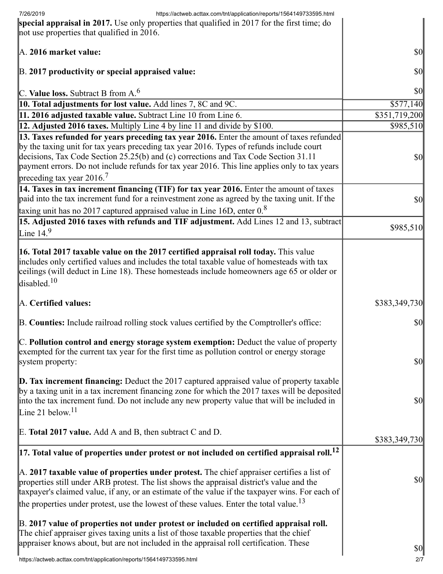| 7/26/2019<br>https://actweb.acttax.com/tnt/application/reports/1564149733595.html<br>special appraisal in 2017. Use only properties that qualified in 2017 for the first time; do<br>not use properties that qualified in 2016.                                                                                                                                                                             |                                     |
|-------------------------------------------------------------------------------------------------------------------------------------------------------------------------------------------------------------------------------------------------------------------------------------------------------------------------------------------------------------------------------------------------------------|-------------------------------------|
| A. 2016 market value:                                                                                                                                                                                                                                                                                                                                                                                       | $\vert \mathbf{S} \mathbf{O} \vert$ |
| B. 2017 productivity or special appraised value:                                                                                                                                                                                                                                                                                                                                                            | $\vert \mathbf{S} \mathbf{0} \vert$ |
| C. Value loss. Subtract B from $A6$                                                                                                                                                                                                                                                                                                                                                                         | \$0                                 |
| <b>10. Total adjustments for lost value.</b> Add lines 7, 8C and 9C.                                                                                                                                                                                                                                                                                                                                        | \$577,140                           |
| 11. 2016 adjusted taxable value. Subtract Line 10 from Line 6.                                                                                                                                                                                                                                                                                                                                              | \$351,719,200                       |
| <b>12. Adjusted 2016 taxes.</b> Multiply Line 4 by line 11 and divide by \$100.                                                                                                                                                                                                                                                                                                                             | \$985,510                           |
| 13. Taxes refunded for years preceding tax year 2016. Enter the amount of taxes refunded<br>by the taxing unit for tax years preceding tax year 2016. Types of refunds include court<br>decisions, Tax Code Section 25.25(b) and (c) corrections and Tax Code Section 31.11<br>payment errors. Do not include refunds for tax year 2016. This line applies only to tax years<br>preceding tax year $2016.7$ | \$0                                 |
| 14. Taxes in tax increment financing (TIF) for tax year 2016. Enter the amount of taxes<br>paid into the tax increment fund for a reinvestment zone as agreed by the taxing unit. If the<br>taxing unit has no 2017 captured appraised value in Line 16D, enter $0.8$                                                                                                                                       | \$0                                 |
| <b>15. Adjusted 2016 taxes with refunds and TIF adjustment.</b> Add Lines 12 and 13, subtract<br>Line $14.9$                                                                                                                                                                                                                                                                                                | \$985,510                           |
| <b>16. Total 2017 taxable value on the 2017 certified appraisal roll today.</b> This value<br>includes only certified values and includes the total taxable value of homesteads with tax<br>ceilings (will deduct in Line 18). These homesteads include homeowners age 65 or older or<br>disabled. <sup>10</sup>                                                                                            |                                     |
| A. Certified values:                                                                                                                                                                                                                                                                                                                                                                                        | \$383,349,730                       |
| B. Counties: Include railroad rolling stock values certified by the Comptroller's office:                                                                                                                                                                                                                                                                                                                   | \$0                                 |
| C. Pollution control and energy storage system exemption: Deduct the value of property<br>exempted for the current tax year for the first time as pollution control or energy storage<br>system property:                                                                                                                                                                                                   | $\vert \$\text{0}\vert$             |
| $\mathbf{D}$ . Tax increment financing: Deduct the 2017 captured appraised value of property taxable<br>by a taxing unit in a tax increment financing zone for which the 2017 taxes will be deposited<br>into the tax increment fund. Do not include any new property value that will be included in<br>Line 21 below. $11$                                                                                 | $\vert \mathbf{S} \mathbf{O} \vert$ |
| E. Total 2017 value. Add A and B, then subtract C and D.                                                                                                                                                                                                                                                                                                                                                    | \$383,349,730                       |
| $\vert$ 17. Total value of properties under protest or not included on certified appraisal roll. <sup>12</sup>                                                                                                                                                                                                                                                                                              |                                     |
| $\mathbb A$ . 2017 taxable value of properties under protest. The chief appraiser certifies a list of<br>properties still under ARB protest. The list shows the appraisal district's value and the<br>taxpayer's claimed value, if any, or an estimate of the value if the taxpayer wins. For each of<br>the properties under protest, use the lowest of these values. Enter the total value. <sup>13</sup> | $\vert \mathbf{S} \mathbf{0} \vert$ |
|                                                                                                                                                                                                                                                                                                                                                                                                             |                                     |
| B. 2017 value of properties not under protest or included on certified appraisal roll.<br>The chief appraiser gives taxing units a list of those taxable properties that the chief<br>appraiser knows about, but are not included in the appraisal roll certification. These<br>https://actweb.acttax.com/tnt/application/reports/1564149733595.html                                                        | <b>\$0</b><br>2/7                   |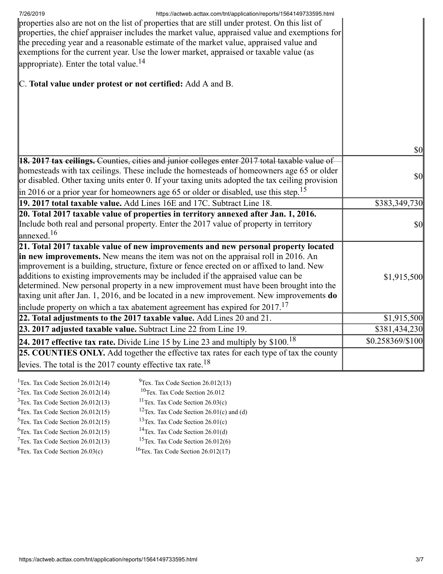| https://actweb.acttax.com/tnt/application/reports/1564149733595.html<br>7/26/2019<br>properties also are not on the list of properties that are still under protest. On this list of<br>properties, the chief appraiser includes the market value, appraised value and exemptions for<br>the preceding year and a reasonable estimate of the market value, appraised value and<br>exemptions for the current year. Use the lower market, appraised or taxable value (as<br>appropriate). Enter the total value. <sup>14</sup> |                                     |
|-------------------------------------------------------------------------------------------------------------------------------------------------------------------------------------------------------------------------------------------------------------------------------------------------------------------------------------------------------------------------------------------------------------------------------------------------------------------------------------------------------------------------------|-------------------------------------|
| C. Total value under protest or not certified: Add A and B.                                                                                                                                                                                                                                                                                                                                                                                                                                                                   |                                     |
|                                                                                                                                                                                                                                                                                                                                                                                                                                                                                                                               |                                     |
|                                                                                                                                                                                                                                                                                                                                                                                                                                                                                                                               |                                     |
|                                                                                                                                                                                                                                                                                                                                                                                                                                                                                                                               |                                     |
| 18. 2017 tax ceilings. Counties, cities and junior colleges enter 2017 total taxable value of                                                                                                                                                                                                                                                                                                                                                                                                                                 | $\vert \mathbf{S} \mathbf{0} \vert$ |
| homesteads with tax ceilings. These include the homesteads of homeowners age 65 or older                                                                                                                                                                                                                                                                                                                                                                                                                                      |                                     |
| or disabled. Other taxing units enter 0. If your taxing units adopted the tax ceiling provision                                                                                                                                                                                                                                                                                                                                                                                                                               | $\vert \mathbf{S} \mathbf{O} \vert$ |
| $\parallel$ in 2016 or a prior year for homeowners age 65 or older or disabled, use this step. <sup>15</sup>                                                                                                                                                                                                                                                                                                                                                                                                                  |                                     |
| 19. 2017 total taxable value. Add Lines 16E and 17C. Subtract Line 18.                                                                                                                                                                                                                                                                                                                                                                                                                                                        | \$383,349,730                       |
| 20. Total 2017 taxable value of properties in territory annexed after Jan. 1, 2016.                                                                                                                                                                                                                                                                                                                                                                                                                                           |                                     |
| Include both real and personal property. Enter the 2017 value of property in territory                                                                                                                                                                                                                                                                                                                                                                                                                                        | $\vert \mathbf{S} \mathbf{O} \vert$ |
| $\lvert$ annexed. <sup>16</sup>                                                                                                                                                                                                                                                                                                                                                                                                                                                                                               |                                     |
| 21. Total 2017 taxable value of new improvements and new personal property located                                                                                                                                                                                                                                                                                                                                                                                                                                            |                                     |
| in new improvements. New means the item was not on the appraisal roll in 2016. An                                                                                                                                                                                                                                                                                                                                                                                                                                             |                                     |
| improvement is a building, structure, fixture or fence erected on or affixed to land. New                                                                                                                                                                                                                                                                                                                                                                                                                                     |                                     |
| additions to existing improvements may be included if the appraised value can be<br>determined. New personal property in a new improvement must have been brought into the                                                                                                                                                                                                                                                                                                                                                    | \$1,915,500                         |
| taxing unit after Jan. 1, 2016, and be located in a new improvement. New improvements do                                                                                                                                                                                                                                                                                                                                                                                                                                      |                                     |
| include property on which a tax abatement agreement has expired for $2017$ . <sup>17</sup>                                                                                                                                                                                                                                                                                                                                                                                                                                    |                                     |
| 22. Total adjustments to the 2017 taxable value. Add Lines 20 and 21.                                                                                                                                                                                                                                                                                                                                                                                                                                                         | \$1,915,500                         |
| 23. 2017 adjusted taxable value. Subtract Line 22 from Line 19.                                                                                                                                                                                                                                                                                                                                                                                                                                                               | \$381,434,230                       |
| 24. 2017 effective tax rate. Divide Line 15 by Line 23 and multiply by $$100.18$                                                                                                                                                                                                                                                                                                                                                                                                                                              | \$0.258369/\$100                    |
| 25. COUNTIES ONLY. Add together the effective tax rates for each type of tax the county                                                                                                                                                                                                                                                                                                                                                                                                                                       |                                     |
| levies. The total is the 2017 county effective tax rate. <sup>18</sup>                                                                                                                                                                                                                                                                                                                                                                                                                                                        |                                     |
| <sup>1</sup> Tex. Tax Code Section $26.012(14)$<br>$^{9}$ Tex. Tax Code Section 26.012(13)                                                                                                                                                                                                                                                                                                                                                                                                                                    |                                     |

<sup>2</sup>Tex. Tax Code Section  $26.012(14)$ <sup>10</sup>Tex. Tax Code Section 26.012  $3$ Tex. Tax Code Section 26.012(13) <sup>11</sup>Tex. Tax Code Section  $26.03(c)$ <sup>4</sup>Tex. Tax Code Section  $26.012(15)$ <sup>12</sup>Tex. Tax Code Section 26.01(c) and (d)  $5$ Tex. Tax Code Section 26.012(15)  $13$ Tex. Tax Code Section 26.01(c)  $6$ Tex. Tax Code Section 26.012(15) <sup>14</sup>Tex. Tax Code Section  $26.01(d)$  $7$ Tex. Tax Code Section 26.012(13) <sup>15</sup>Tex. Tax Code Section 26.012(6)  ${}^{8}$ Tex. Tax Code Section 26.03(c)  $16$ Tex. Tax Code Section 26.012(17)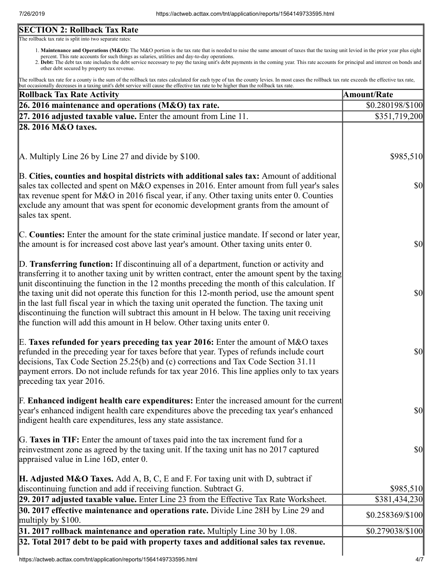# **SECTION 2: Rollback Tax Rate**

The rollback tax rate is split into two separate rates:

- 1. Maintenance and Operations (M&O): The M&O portion is the tax rate that is needed to raise the same amount of taxes that the taxing unit levied in the prior year plus eight percent. This rate accounts for such things as salaries, utilities and day-to-day operations.
- 2. Debt: The debt tax rate includes the debt service necessary to pay the taxing unit's debt payments in the coming year. This rate accounts for principal and interest on bonds and other debt secured by property tax revenue.

The rollback tax rate for a county is the sum of the rollback tax rates calculated for each type of tax the county levies. In most cases the rollback tax rate exceeds the effective tax rate, but occasionally decreases in a taxing unit's debt service will cause the effective tax rate to be higher than the rollback tax rate.

| Rollback Tax Rate Activity                                                                                                                                                                                                                                                                                                                                                                                                                                                                                                                                                                                                                                              | <b>Amount/Rate</b> |
|-------------------------------------------------------------------------------------------------------------------------------------------------------------------------------------------------------------------------------------------------------------------------------------------------------------------------------------------------------------------------------------------------------------------------------------------------------------------------------------------------------------------------------------------------------------------------------------------------------------------------------------------------------------------------|--------------------|
| 26. 2016 maintenance and operations (M&O) tax rate.                                                                                                                                                                                                                                                                                                                                                                                                                                                                                                                                                                                                                     | \$0.280198/\$100   |
| $\left 27, 2016\right $ adjusted taxable value. Enter the amount from Line 11.                                                                                                                                                                                                                                                                                                                                                                                                                                                                                                                                                                                          | \$351,719,200      |
| 28. 2016 M&O taxes.                                                                                                                                                                                                                                                                                                                                                                                                                                                                                                                                                                                                                                                     |                    |
|                                                                                                                                                                                                                                                                                                                                                                                                                                                                                                                                                                                                                                                                         |                    |
| A. Multiply Line 26 by Line 27 and divide by \$100.                                                                                                                                                                                                                                                                                                                                                                                                                                                                                                                                                                                                                     | \$985,510          |
| B. Cities, counties and hospital districts with additional sales tax: Amount of additional<br>sales tax collected and spent on M&O expenses in 2016. Enter amount from full year's sales<br>tax revenue spent for M&O in 2016 fiscal year, if any. Other taxing units enter 0. Counties<br>exclude any amount that was spent for economic development grants from the amount of<br>sales tax spent.                                                                                                                                                                                                                                                                     | \$0                |
| C. Counties: Enter the amount for the state criminal justice mandate. If second or later year,<br>the amount is for increased cost above last year's amount. Other taxing units enter 0.                                                                                                                                                                                                                                                                                                                                                                                                                                                                                | $ 10\rangle$       |
| D. Transferring function: If discontinuing all of a department, function or activity and<br>transferring it to another taxing unit by written contract, enter the amount spent by the taxing<br>unit discontinuing the function in the 12 months preceding the month of this calculation. If<br>the taxing unit did not operate this function for this 12-month period, use the amount spent<br>in the last full fiscal year in which the taxing unit operated the function. The taxing unit<br>discontinuing the function will subtract this amount in H below. The taxing unit receiving<br>the function will add this amount in H below. Other taxing units enter 0. | $ 10\rangle$       |
| E. Taxes refunded for years preceding tax year 2016: Enter the amount of M&O taxes<br>refunded in the preceding year for taxes before that year. Types of refunds include court<br>decisions, Tax Code Section 25.25(b) and (c) corrections and Tax Code Section 31.11<br>payment errors. Do not include refunds for tax year 2016. This line applies only to tax years<br>$\beta$ preceding tax year 2016.                                                                                                                                                                                                                                                             | \$0                |
| <b>F. Enhanced indigent health care expenditures:</b> Enter the increased amount for the current<br>year's enhanced indigent health care expenditures above the preceding tax year's enhanced<br>indigent health care expenditures, less any state assistance.                                                                                                                                                                                                                                                                                                                                                                                                          | \$0                |
| G. Taxes in TIF: Enter the amount of taxes paid into the tax increment fund for a<br>reinvestment zone as agreed by the taxing unit. If the taxing unit has no 2017 captured<br>appraised value in Line 16D, enter 0.                                                                                                                                                                                                                                                                                                                                                                                                                                                   | \$0                |
| <b>H. Adjusted M&amp;O Taxes.</b> Add A, B, C, E and F. For taxing unit with D, subtract if<br>discontinuing function and add if receiving function. Subtract G.                                                                                                                                                                                                                                                                                                                                                                                                                                                                                                        | \$985,510          |
| [29. 2017 adjusted taxable value. Enter Line 23 from the Effective Tax Rate Worksheet.                                                                                                                                                                                                                                                                                                                                                                                                                                                                                                                                                                                  | \$381,434,230      |
| 30. 2017 effective maintenance and operations rate. Divide Line 28H by Line 29 and<br>multiply by $$100$ .                                                                                                                                                                                                                                                                                                                                                                                                                                                                                                                                                              | \$0.258369/\$100   |
| $31.2017$ rollback maintenance and operation rate. Multiply Line 30 by 1.08.                                                                                                                                                                                                                                                                                                                                                                                                                                                                                                                                                                                            | \$0.279038/\$100   |
| 32. Total 2017 debt to be paid with property taxes and additional sales tax revenue.                                                                                                                                                                                                                                                                                                                                                                                                                                                                                                                                                                                    |                    |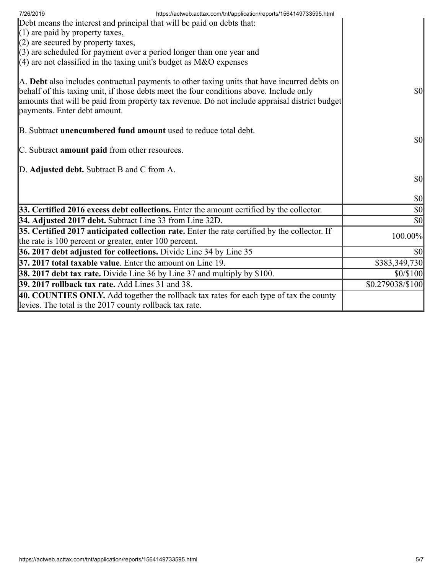| 7/26/2019<br>https://actweb.acttax.com/tnt/application/reports/1564149733595.html<br>Debt means the interest and principal that will be paid on debts that:<br>$(1)$ are paid by property taxes,<br>$(2)$ are secured by property taxes,<br>$(3)$ are scheduled for payment over a period longer than one year and<br>$(4)$ are not classified in the taxing unit's budget as M&O expenses |                                     |
|--------------------------------------------------------------------------------------------------------------------------------------------------------------------------------------------------------------------------------------------------------------------------------------------------------------------------------------------------------------------------------------------|-------------------------------------|
| A. Debt also includes contractual payments to other taxing units that have incurred debts on<br>behalf of this taxing unit, if those debts meet the four conditions above. Include only<br>amounts that will be paid from property tax revenue. Do not include appraisal district budget<br>payments. Enter debt amount.                                                                   | <b>\$0</b>                          |
| B. Subtract <b>unencumbered fund amount</b> used to reduce total debt.<br>C. Subtract amount paid from other resources.                                                                                                                                                                                                                                                                    | $\vert \mathbf{S} \mathbf{O} \vert$ |
| D. Adjusted debt. Subtract B and C from A.                                                                                                                                                                                                                                                                                                                                                 | <b>\$0</b>                          |
|                                                                                                                                                                                                                                                                                                                                                                                            | $\vert \mathbf{S} \mathbf{0} \vert$ |
| 33. Certified 2016 excess debt collections. Enter the amount certified by the collector.                                                                                                                                                                                                                                                                                                   | $\vert \$\text{0}\vert$             |
| 34. Adjusted 2017 debt. Subtract Line 33 from Line 32D.                                                                                                                                                                                                                                                                                                                                    | $ 10\rangle$                        |
| 35. Certified 2017 anticipated collection rate. Enter the rate certified by the collector. If<br>the rate is 100 percent or greater, enter 100 percent.                                                                                                                                                                                                                                    | 100.00%                             |
| 36. 2017 debt adjusted for collections. Divide Line 34 by Line 35                                                                                                                                                                                                                                                                                                                          | \$0                                 |
| 37. 2017 total taxable value. Enter the amount on Line 19.                                                                                                                                                                                                                                                                                                                                 | \$383,349,730                       |
| <b>38. 2017 debt tax rate.</b> Divide Line 36 by Line 37 and multiply by \$100.                                                                                                                                                                                                                                                                                                            | \$0/\$100                           |
| <b>39. 2017 rollback tax rate.</b> Add Lines 31 and 38.                                                                                                                                                                                                                                                                                                                                    | \$0.279038/\$100                    |
| 40. COUNTIES ONLY. Add together the rollback tax rates for each type of tax the county<br>levies. The total is the 2017 county rollback tax rate.                                                                                                                                                                                                                                          |                                     |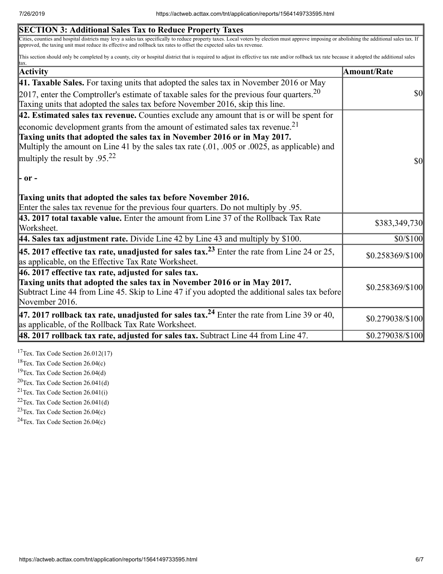| Cities, counties and hospital districts may levy a sales tax specifically to reduce property taxes. Local voters by election must approve imposing or abolishing the additional sales tax. If<br>This section should only be completed by a county, city or hospital district that is required to adjust its effective tax rate and/or rollback tax rate because it adopted the additional sales<br>Amount/Rate<br>Taxing units that adopted the sales tax before November 2016, skip this line.<br>$\vert$ 42. Estimated sales tax revenue. Counties exclude any amount that is or will be spent for<br>Multiply the amount on Line 41 by the sales tax rate $(.01, .005)$ or $.0025$ , as applicable) and<br>Enter the sales tax revenue for the previous four quarters. Do not multiply by .95.<br>43. 2017 total taxable value. Enter the amount from Line 37 of the Rollback Tax Rate<br>Subtract Line 44 from Line 45. Skip to Line 47 if you adopted the additional sales tax before | <b>SECTION 3: Additional Sales Tax to Reduce Property Taxes</b>                                                                                                       |                                        |
|---------------------------------------------------------------------------------------------------------------------------------------------------------------------------------------------------------------------------------------------------------------------------------------------------------------------------------------------------------------------------------------------------------------------------------------------------------------------------------------------------------------------------------------------------------------------------------------------------------------------------------------------------------------------------------------------------------------------------------------------------------------------------------------------------------------------------------------------------------------------------------------------------------------------------------------------------------------------------------------------|-----------------------------------------------------------------------------------------------------------------------------------------------------------------------|----------------------------------------|
|                                                                                                                                                                                                                                                                                                                                                                                                                                                                                                                                                                                                                                                                                                                                                                                                                                                                                                                                                                                             | approved, the taxing unit must reduce its effective and rollback tax rates to offset the expected sales tax revenue.                                                  |                                        |
|                                                                                                                                                                                                                                                                                                                                                                                                                                                                                                                                                                                                                                                                                                                                                                                                                                                                                                                                                                                             |                                                                                                                                                                       |                                        |
|                                                                                                                                                                                                                                                                                                                                                                                                                                                                                                                                                                                                                                                                                                                                                                                                                                                                                                                                                                                             | <b>Activity</b>                                                                                                                                                       |                                        |
|                                                                                                                                                                                                                                                                                                                                                                                                                                                                                                                                                                                                                                                                                                                                                                                                                                                                                                                                                                                             | 41. Taxable Sales. For taxing units that adopted the sales tax in November 2016 or May                                                                                |                                        |
|                                                                                                                                                                                                                                                                                                                                                                                                                                                                                                                                                                                                                                                                                                                                                                                                                                                                                                                                                                                             | 2017, enter the Comptroller's estimate of taxable sales for the previous four quarters. $20$                                                                          | $\boldsymbol{S}$ O                     |
|                                                                                                                                                                                                                                                                                                                                                                                                                                                                                                                                                                                                                                                                                                                                                                                                                                                                                                                                                                                             |                                                                                                                                                                       |                                        |
|                                                                                                                                                                                                                                                                                                                                                                                                                                                                                                                                                                                                                                                                                                                                                                                                                                                                                                                                                                                             | economic development grants from the amount of estimated sales tax revenue. <sup>21</sup><br>Taxing units that adopted the sales tax in November 2016 or in May 2017. |                                        |
|                                                                                                                                                                                                                                                                                                                                                                                                                                                                                                                                                                                                                                                                                                                                                                                                                                                                                                                                                                                             |                                                                                                                                                                       |                                        |
|                                                                                                                                                                                                                                                                                                                                                                                                                                                                                                                                                                                                                                                                                                                                                                                                                                                                                                                                                                                             | multiply the result by .95. <sup>22</sup>                                                                                                                             | $\boldsymbol{\mathsf{S}}$ <sub>0</sub> |
|                                                                                                                                                                                                                                                                                                                                                                                                                                                                                                                                                                                                                                                                                                                                                                                                                                                                                                                                                                                             | - or -<br>Taxing units that adopted the sales tax before November 2016.                                                                                               |                                        |
|                                                                                                                                                                                                                                                                                                                                                                                                                                                                                                                                                                                                                                                                                                                                                                                                                                                                                                                                                                                             |                                                                                                                                                                       |                                        |
|                                                                                                                                                                                                                                                                                                                                                                                                                                                                                                                                                                                                                                                                                                                                                                                                                                                                                                                                                                                             | Worksheet.                                                                                                                                                            | \$383,349,730                          |
|                                                                                                                                                                                                                                                                                                                                                                                                                                                                                                                                                                                                                                                                                                                                                                                                                                                                                                                                                                                             | 44. Sales tax adjustment rate. Divide Line 42 by Line 43 and multiply by $$100$ .                                                                                     | \$0/\$100                              |
|                                                                                                                                                                                                                                                                                                                                                                                                                                                                                                                                                                                                                                                                                                                                                                                                                                                                                                                                                                                             | <b>45. 2017 effective tax rate, unadjusted for sales tax.</b> <sup>23</sup> Enter the rate from Line 24 or 25,<br>as applicable, on the Effective Tax Rate Worksheet. | \$0.258369/\$100                       |
|                                                                                                                                                                                                                                                                                                                                                                                                                                                                                                                                                                                                                                                                                                                                                                                                                                                                                                                                                                                             | 46. 2017 effective tax rate, adjusted for sales tax.                                                                                                                  |                                        |
|                                                                                                                                                                                                                                                                                                                                                                                                                                                                                                                                                                                                                                                                                                                                                                                                                                                                                                                                                                                             | Taxing units that adopted the sales tax in November 2016 or in May 2017.<br>November 2016.                                                                            | \$0.258369/\$100                       |
|                                                                                                                                                                                                                                                                                                                                                                                                                                                                                                                                                                                                                                                                                                                                                                                                                                                                                                                                                                                             | 47. 2017 rollback tax rate, unadjusted for sales tax. <sup>24</sup> Enter the rate from Line 39 or 40,<br>as applicable, of the Rollback Tax Rate Worksheet.          | \$0.279038/\$100                       |
|                                                                                                                                                                                                                                                                                                                                                                                                                                                                                                                                                                                                                                                                                                                                                                                                                                                                                                                                                                                             | $\vert$ 48. 2017 rollback tax rate, adjusted for sales tax. Subtract Line 44 from Line 47.                                                                            | \$0.279038/\$100                       |

<sup>17</sup>Tex. Tax Code Section  $26.012(17)$ 

<sup>18</sup>Tex. Tax Code Section 26.04(c)

<sup>19</sup>Tex. Tax Code Section 26.04(d)

 $20$ Tex. Tax Code Section 26.041(d)

<sup>21</sup>Tex. Tax Code Section  $26.041(i)$ 

<sup>22</sup>Tex. Tax Code Section  $26.041(d)$ 

 $23$ Tex. Tax Code Section 26.04(c)

 $24$ Tex. Tax Code Section 26.04(c)